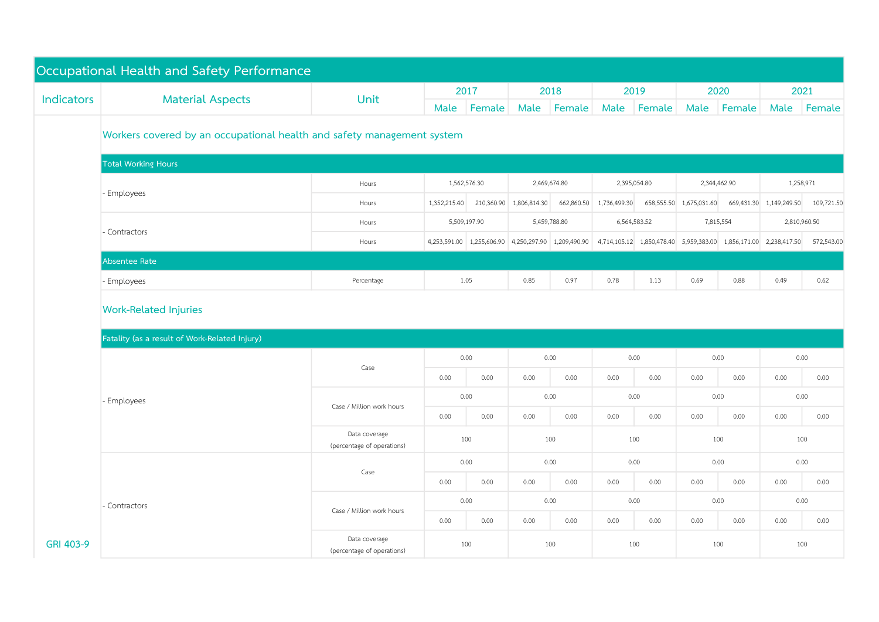|            | Occupational Health and Safety Performance                             |                                             |                              |              |              |                                                     |              |                                        |                         |              |                           |            |  |
|------------|------------------------------------------------------------------------|---------------------------------------------|------------------------------|--------------|--------------|-----------------------------------------------------|--------------|----------------------------------------|-------------------------|--------------|---------------------------|------------|--|
|            | <b>Material Aspects</b>                                                | <b>Unit</b>                                 |                              | 2017         |              | 2018                                                |              | 2019                                   |                         | 2020         |                           | 2021       |  |
| Indicators |                                                                        |                                             | Male                         | Female       | Male         | Female                                              | Male         | Female                                 | Male                    | Female       | Male                      | Female     |  |
|            | Workers covered by an occupational health and safety management system |                                             |                              |              |              |                                                     |              |                                        |                         |              |                           |            |  |
|            | <b>Total Working Hours</b>                                             |                                             |                              |              |              |                                                     |              |                                        |                         |              |                           |            |  |
|            |                                                                        | Hours                                       |                              | 1,562,576.30 | 2,469,674.80 |                                                     | 2,395,054.80 |                                        | 2,344,462.90            |              | 1,258,971                 |            |  |
|            | - Employees                                                            | Hours                                       | 1,352,215.40                 | 210,360.90   | 1,806,814.30 | 662,860.50                                          | 1,736,499.30 |                                        | 658,555.50 1,675,031.60 |              | 669,431.30 1,149,249.50   | 109,721.50 |  |
|            |                                                                        | Hours                                       | 5,509,197.90<br>5,459,788.80 |              |              |                                                     | 6,564,583.52 | 7,815,554                              |                         | 2,810,960.50 |                           |            |  |
|            | Contractors                                                            | Hours                                       |                              |              |              | 4,253,591.00 1,255,606.90 4,250,297.90 1,209,490.90 |              | 4,714,105.12 1,850,478.40 5,959,383.00 |                         |              | 1,856,171.00 2,238,417.50 | 572,543.00 |  |
|            | Absentee Rate                                                          |                                             |                              |              |              |                                                     |              |                                        |                         |              |                           |            |  |
|            | - Employees                                                            | Percentage                                  | 1.05                         |              | 0.85         | 0.97                                                | 0.78         | 1.13                                   | 0.69                    | 0.88         | 0.49                      | 0.62       |  |
|            | <b>Work-Related Injuries</b>                                           |                                             |                              |              |              |                                                     |              |                                        |                         |              |                           |            |  |
|            | Fatality (as a result of Work-Related Injury)                          |                                             |                              |              |              |                                                     |              |                                        |                         |              |                           |            |  |
|            | - Employees                                                            | Case                                        | 0.00                         |              | 0.00         |                                                     |              | 0.00                                   |                         | 0.00         | 0.00                      |            |  |
|            |                                                                        |                                             | 0.00                         | 0.00         | 0.00         | 0.00                                                | 0.00         | 0.00                                   | 0.00                    | 0.00         | 0.00                      | 0.00       |  |
|            |                                                                        | Case / Million work hours                   | 0.00                         |              | 0.00         |                                                     | 0.00         |                                        | 0.00                    |              | 0.00                      |            |  |
|            |                                                                        |                                             | 0.00                         | 0.00         | 0.00         | 0.00                                                | 0.00         | 0.00                                   | 0.00                    | 0.00         | 0.00                      | 0.00       |  |
|            |                                                                        | Data coverage<br>(percentage of operations) | 100                          |              | 100          |                                                     | 100          |                                        | 100                     |              | 100                       |            |  |
|            | - Contractors                                                          | Case                                        |                              | 0.00         |              | 0.00                                                |              | 0.00                                   |                         | 0.00         | 0.00                      |            |  |
|            |                                                                        |                                             | 0.00                         | 0.00         | 0.00         | 0.00                                                | 0.00         | 0.00                                   | 0.00                    | 0.00         | 0.00                      | 0.00       |  |
|            |                                                                        | Case / Million work hours                   | 0.00                         |              | 0.00         |                                                     | 0.00         |                                        | 0.00                    |              | 0.00                      |            |  |
|            |                                                                        |                                             | 0.00                         | 0.00         | 0.00         | 0.00                                                | 0.00         | 0.00                                   | 0.00                    | 0.00         | 0.00                      | 0.00       |  |
| GRI 403-9  |                                                                        | Data coverage<br>(percentage of operations) | 100                          |              | 100          |                                                     | 100          |                                        | 100                     |              | 100                       |            |  |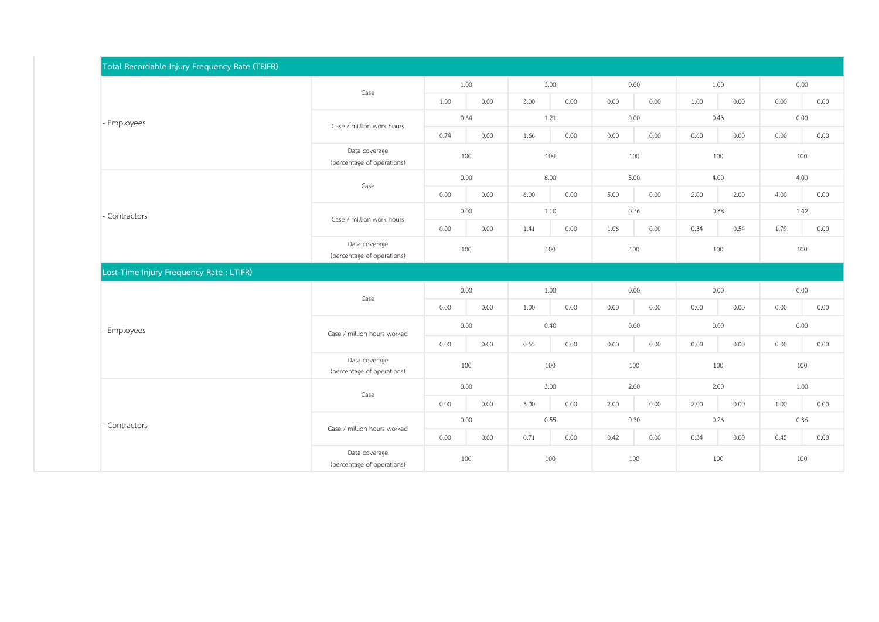| Total Recordable Injury Frequency Rate (TRIFR) |                                             |      |      |      |      |      |                                      |      |      |      |      |
|------------------------------------------------|---------------------------------------------|------|------|------|------|------|--------------------------------------|------|------|------|------|
|                                                | Case                                        |      | 1.00 | 3.00 |      | 0.00 |                                      | 1.00 |      | 0.00 |      |
|                                                |                                             | 1.00 | 0.00 | 3.00 | 0.00 | 0.00 | 0.00                                 | 1.00 | 0.00 | 0.00 | 0.00 |
| - Employees                                    | Case / million work hours                   | 0.64 |      | 1.21 |      | 0.00 |                                      | 0.43 |      | 0.00 |      |
|                                                |                                             | 0.74 | 0.00 | 1.66 | 0.00 | 0.00 | 0.00<br>0.00<br>0.00<br>0.00<br>0.00 | 0.60 | 0.00 | 0.00 | 0.00 |
|                                                | Data coverage<br>(percentage of operations) | 100  |      | 100  |      | 100  |                                      | 100  |      | 100  |      |
|                                                | Case                                        | 0.00 |      | 6.00 |      | 5.00 |                                      | 4.00 |      | 4.00 |      |
|                                                |                                             | 0.00 | 0.00 | 6.00 | 0.00 | 5.00 |                                      | 2.00 | 2.00 | 4.00 | 0.00 |
| - Contractors                                  | Case / million work hours                   | 0.00 | 1.10 |      | 0.76 |      | 0.38                                 |      | 1.42 |      |      |
|                                                |                                             | 0.00 | 0.00 | 1.41 | 0.00 | 1.06 |                                      | 0.34 | 0.54 | 1.79 | 0.00 |
|                                                | Data coverage<br>(percentage of operations) | 100  |      | 100  |      | 100  |                                      | 100  |      | 100  |      |
| Lost-Time Injury Frequency Rate: LTIFR)        |                                             |      |      |      |      |      |                                      |      |      |      |      |
|                                                | Case                                        | 0.00 |      | 1.00 |      | 0.00 |                                      | 0.00 |      | 0.00 |      |
|                                                |                                             | 0.00 | 0.00 | 1.00 | 0.00 | 0.00 |                                      | 0.00 | 0.00 | 0.00 | 0.00 |
| - Employees                                    | Case / million hours worked                 | 0.00 |      | 0.40 |      | 0.00 |                                      | 0.00 |      | 0.00 |      |
|                                                |                                             | 0.00 | 0.00 | 0.55 | 0.00 | 0.00 |                                      | 0.00 | 0.00 | 0.00 | 0.00 |
|                                                | Data coverage<br>(percentage of operations) | 100  |      | 100  |      | 100  |                                      | 100  |      | 100  |      |
|                                                | Case                                        | 0.00 |      | 3.00 |      | 2.00 |                                      | 2.00 |      | 1.00 |      |
|                                                |                                             | 0.00 | 0.00 | 3.00 | 0.00 | 2.00 | 0.00                                 | 2.00 | 0.00 | 1.00 | 0.00 |
| - Contractors                                  | Case / million hours worked                 | 0.00 |      | 0.55 |      | 0.30 |                                      | 0.26 |      | 0.36 |      |
|                                                |                                             | 0.00 | 0.00 | 0.71 | 0.00 | 0.42 | 0.00                                 | 0.34 | 0.00 | 0.45 | 0.00 |
|                                                | Data coverage<br>(percentage of operations) | 100  |      | 100  |      | 100  |                                      | 100  |      | 100  |      |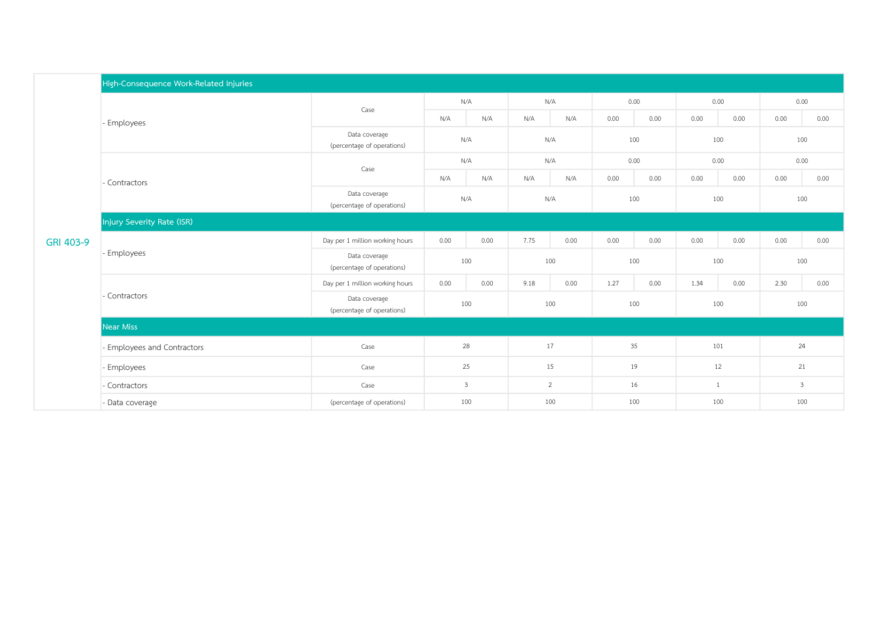|           | High-Consequence Work-Related Injuries |                                             |              |      |      |      |      |      |              |      |              |      |  |
|-----------|----------------------------------------|---------------------------------------------|--------------|------|------|------|------|------|--------------|------|--------------|------|--|
|           | - Employees                            | Case                                        | N/A          |      | N/A  |      | 0.00 |      | 0.00         |      | 0.00         |      |  |
|           |                                        |                                             | N/A          | N/A  | N/A  | N/A  | 0.00 | 0.00 | 0.00         | 0.00 | 0.00         | 0.00 |  |
|           |                                        | Data coverage<br>(percentage of operations) | N/A          |      | N/A  |      | 100  |      | 100          |      | 100          |      |  |
|           | - Contractors                          | Case                                        | N/A          |      | N/A  |      | 0.00 |      | 0.00         |      | 0.00         |      |  |
|           |                                        |                                             | N/A          | N/A  | N/A  | N/A  | 0.00 | 0.00 | 0.00         | 0.00 | 0.00         | 0.00 |  |
|           |                                        | Data coverage<br>(percentage of operations) | N/A          |      | N/A  |      | 100  |      | 100          |      | 100          |      |  |
|           | Injury Severity Rate (ISR)             |                                             |              |      |      |      |      |      |              |      |              |      |  |
| GRI 403-9 | - Employees                            | Day per 1 million working hours             | 0.00         | 0.00 | 7.75 | 0.00 | 0.00 | 0.00 | 0.00         | 0.00 | 0.00         | 0.00 |  |
|           |                                        | Data coverage<br>(percentage of operations) | 100          |      | 100  |      | 100  |      | 100          |      | 100          |      |  |
|           |                                        | Day per 1 million working hours             | 0.00         | 0.00 | 9.18 | 0.00 | 1.27 | 0.00 | 1.34         | 0.00 | 2.30         | 0.00 |  |
|           | - Contractors                          | Data coverage<br>(percentage of operations) | 100          |      | 100  |      | 100  |      | 100          |      | 100          |      |  |
|           | <b>Near Miss</b>                       |                                             |              |      |      |      |      |      |              |      |              |      |  |
|           | - Employees and Contractors            | Case                                        | 28           |      | 17   |      | 35   |      | 101          |      | 24           |      |  |
|           | - Employees                            | Case                                        | 25           |      | 15   |      | 19   |      | 12           |      | 21           |      |  |
|           | - Contractors                          | Case                                        | $\mathbf{3}$ |      | 2    |      | 16   |      | $\mathbf{1}$ |      | $\mathbf{3}$ |      |  |
|           | - Data coverage                        | (percentage of operations)                  | 100          |      | 100  |      | 100  |      | 100          |      | 100          |      |  |